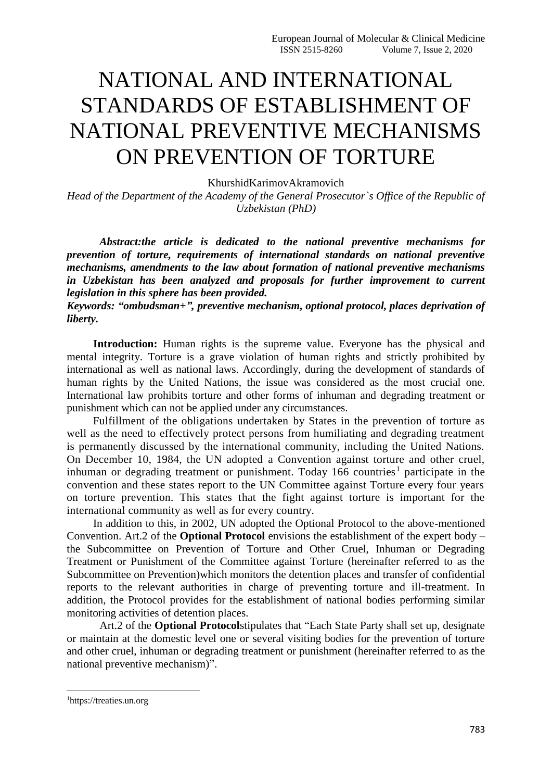## NATIONAL AND INTERNATIONAL STANDARDS OF ESTABLISHMENT OF NATIONAL PREVENTIVE MECHANISMS ON PREVENTION OF TORTURE

KhurshidKarimovAkramovich

*Head of the Department of the Academy of the General Prosecutor`s Office of the Republic of Uzbekistan (PhD)*

*Abstract:the article is dedicated to the national preventive mechanisms for prevention of torture, requirements of international standards on national preventive mechanisms, amendments to the law about formation of national preventive mechanisms in Uzbekistan has been analyzed and proposals for further improvement to current legislation in this sphere has been provided.*

*Keywords: "ombudsman+", preventive mechanism, optional protocol, places deprivation of liberty.*

**Introduction:** Human rights is the supreme value. Everyone has the physical and mental integrity. Torture is a grave violation of human rights and strictly prohibited by international as well as national laws. Accordingly, during the development of standards of human rights by the United Nations, the issue was considered as the most crucial one. International law prohibits torture and other forms of inhuman and degrading treatment or punishment which can not be applied under any circumstances.

Fulfillment of the obligations undertaken by States in the prevention of torture as well as the need to effectively protect persons from humiliating and degrading treatment is permanently discussed by the international community, including the United Nations. On December 10, 1984, the UN adopted a Convention against torture and other cruel, inhuman or degrading treatment or punishment. Today 166 countries<sup>1</sup> participate in the convention and these states report to the UN Committee against Torture every four years on torture prevention. This states that the fight against torture is important for the international community as well as for every country.

In addition to this, in 2002, UN adopted the Optional Protocol to the above-mentioned Convention. Art.2 of the **Optional Protocol** envisions the establishment of the expert body – the Subcommittee on Prevention of Torture and Other Cruel, Inhuman or Degrading Treatment or Punishment of the Committee against Torture (hereinafter referred to as the Subcommittee on Prevention)which monitors the detention places and transfer of confidential reports to the relevant authorities in charge of preventing torture and ill-treatment. In addition, the Protocol provides for the establishment of national bodies performing similar monitoring activities of detention places.

Art.2 of the **Optional Protocol**stipulates that "Each State Party shall set up, designate or maintain at the domestic level one or several visiting bodies for the prevention of torture and other cruel, inhuman or degrading treatment or punishment (hereinafter referred to as the national preventive mechanism)".

**.** 

<sup>1</sup>https://treaties.un.org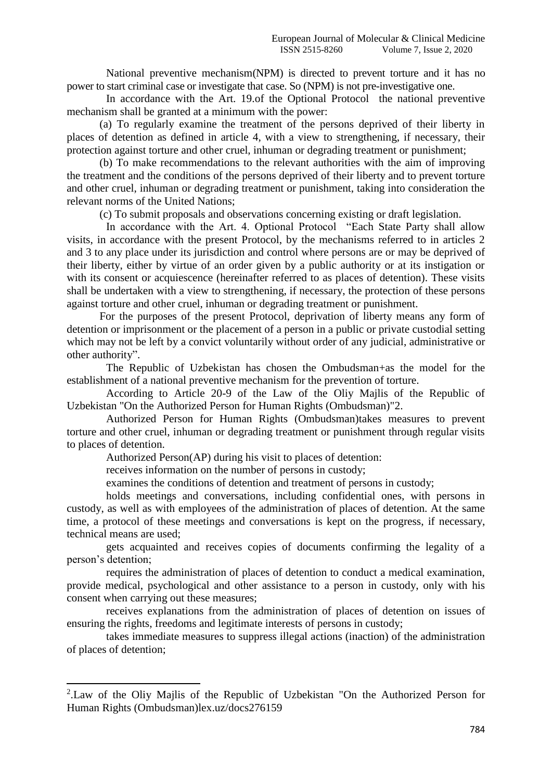National preventive mechanism(NPM) is directed to prevent torture and it has no power to start criminal case or investigate that case. So (NPM) is not pre-investigative one.

In accordance with the Art. 19.of the Optional Protocol the national preventive mechanism shall be granted at a minimum with the power:

(a) To regularly examine the treatment of the persons deprived of their liberty in places of detention as defined in article 4, with a view to strengthening, if necessary, their protection against torture and other cruel, inhuman or degrading treatment or punishment;

(b) To make recommendations to the relevant authorities with the aim of improving the treatment and the conditions of the persons deprived of their liberty and to prevent torture and other cruel, inhuman or degrading treatment or punishment, taking into consideration the relevant norms of the United Nations;

(c) To submit proposals and observations concerning existing or draft legislation.

In accordance with the Art. 4. Optional Protocol "Each State Party shall allow visits, in accordance with the present Protocol, by the mechanisms referred to in articles 2 and 3 to any place under its jurisdiction and control where persons are or may be deprived of their liberty, either by virtue of an order given by a public authority or at its instigation or with its consent or acquiescence (hereinafter referred to as places of detention). These visits shall be undertaken with a view to strengthening, if necessary, the protection of these persons against torture and other cruel, inhuman or degrading treatment or punishment.

For the purposes of the present Protocol, deprivation of liberty means any form of detention or imprisonment or the placement of a person in a public or private custodial setting which may not be left by a convict voluntarily without order of any judicial, administrative or other authority".

The Republic of Uzbekistan has chosen the Ombudsman+as the model for the establishment of a national preventive mechanism for the prevention of torture.

According to Article 20-9 of the Law of the Oliy Majlis of the Republic of Uzbekistan "On the Authorized Person for Human Rights (Ombudsman)"2.

Authorized Person for Human Rights (Ombudsman)takes measures to prevent torture and other cruel, inhuman or degrading treatment or punishment through regular visits to places of detention.

Authorized Person(AP) during his visit to places of detention:

receives information on the number of persons in custody;

**.** 

examines the conditions of detention and treatment of persons in custody;

holds meetings and conversations, including confidential ones, with persons in custody, as well as with employees of the administration of places of detention. At the same time, a protocol of these meetings and conversations is kept on the progress, if necessary, technical means are used;

gets acquainted and receives copies of documents confirming the legality of a person's detention;

requires the administration of places of detention to conduct a medical examination, provide medical, psychological and other assistance to a person in custody, only with his consent when carrying out these measures;

receives explanations from the administration of places of detention on issues of ensuring the rights, freedoms and legitimate interests of persons in custody;

takes immediate measures to suppress illegal actions (inaction) of the administration of places of detention;

<sup>&</sup>lt;sup>2</sup>. Law of the Oliy Majlis of the Republic of Uzbekistan "On the Authorized Person for Human Rights (Ombudsman)lex.uz/docs276159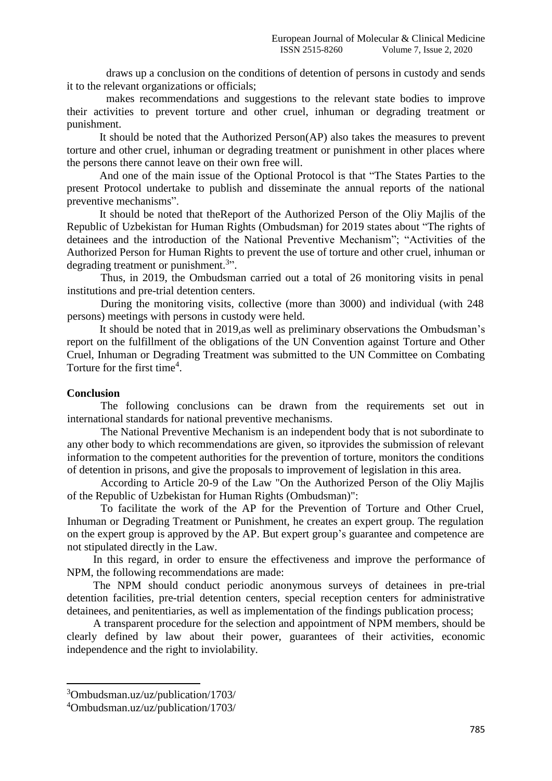draws up a conclusion on the conditions of detention of persons in custody and sends it to the relevant organizations or officials;

makes recommendations and suggestions to the relevant state bodies to improve their activities to prevent torture and other cruel, inhuman or degrading treatment or punishment.

It should be noted that the Authorized Person(AP) also takes the measures to prevent torture and other cruel, inhuman or degrading treatment or punishment in other places where the persons there cannot leave on their own free will.

And one of the main issue of the Optional Protocol is that "The States Parties to the present Protocol undertake to publish and disseminate the annual reports of the national preventive mechanisms".

It should be noted that theReport of the Authorized Person of the Oliy Majlis of the Republic of Uzbekistan for Human Rights (Ombudsman) for 2019 states about "The rights of detainees and the introduction of the National Preventive Mechanism"; "Activities of the Authorized Person for Human Rights to prevent the use of torture and other cruel, inhuman or degrading treatment or punishment.<sup>3</sup>".

Thus, in 2019, the Ombudsman carried out a total of 26 monitoring visits in penal institutions and pre-trial detention centers.

During the monitoring visits, collective (more than 3000) and individual (with 248 persons) meetings with persons in custody were held.

It should be noted that in 2019,as well as preliminary observations the Ombudsman's report on the fulfillment of the obligations of the UN Convention against Torture and Other Cruel, Inhuman or Degrading Treatment was submitted to the UN Committee on Combating Torture for the first time<sup>4</sup>.

## **Conclusion**

**.** 

The following conclusions can be drawn from the requirements set out in international standards for national preventive mechanisms.

The National Preventive Mechanism is an independent body that is not subordinate to any other body to which recommendations are given, so itprovides the submission of relevant information to the competent authorities for the prevention of torture, monitors the conditions of detention in prisons, and give the proposals to improvement of legislation in this area.

According to Article 20-9 of the Law "On the Authorized Person of the Oliy Majlis of the Republic of Uzbekistan for Human Rights (Ombudsman)":

To facilitate the work of the AP for the Prevention of Torture and Other Cruel, Inhuman or Degrading Treatment or Punishment, he creates an expert group. The regulation on the expert group is approved by the AP. But expert group's guarantee and competence are not stipulated directly in the Law.

In this regard, in order to ensure the effectiveness and improve the performance of NPM, the following recommendations are made:

The NPM should conduct periodic anonymous surveys of detainees in pre-trial detention facilities, pre-trial detention centers, special reception centers for administrative detainees, and penitentiaries, as well as implementation of the findings publication process;

A transparent procedure for the selection and appointment of NPM members, should be clearly defined by law about their power, guarantees of their activities, economic independence and the right to inviolability.

<sup>3</sup>Ombudsman.uz/uz/publication/1703/

<sup>4</sup>Ombudsman.uz/uz/publication/1703/